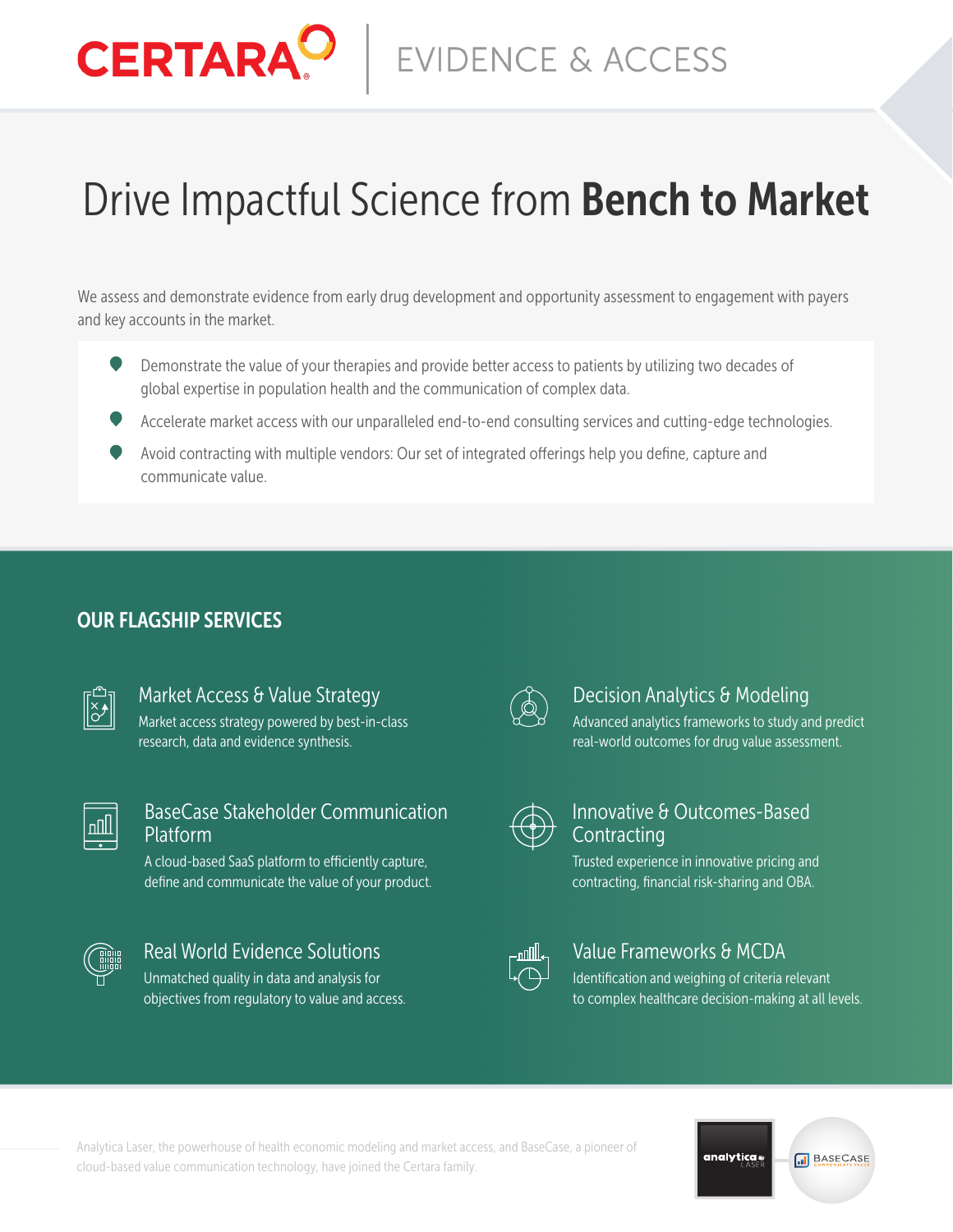# Drive Impactful Science from Bench to Market

**EVIDENCE & ACCESS** 

We assess and demonstrate evidence from early drug development and opportunity assessment to engagement with payers and key accounts in the market.

- Demonstrate the value of your therapies and provide better access to patients by utilizing two decades of global expertise in population health and the communication of complex data.
- Accelerate market access with our unparalleled end-to-end consulting services and cutting-edge technologies.
- Avoid contracting with multiple vendors: Our set of integrated offerings help you define, capture and communicate value.

## OUR FLAGSHIP SERVICES

**CERTARA** 

## Market Access & Value Strategy

Market access strategy powered by best-in-class research, data and evidence synthesis.

## BaseCase Stakeholder Communication Platform

A cloud-based SaaS platform to efficiently capture, define and communicate the value of your product.



## Real World Evidence Solutions

Unmatched quality in data and analysis for objectives from regulatory to value and access.



## Decision Analytics & Modeling

Advanced analytics frameworks to study and predict real-world outcomes for drug value assessment.



## Innovative & Outcomes-Based **Contracting**

Trusted experience in innovative pricing and contracting, financial risk-sharing and OBA.



## Value Frameworks & MCDA

Identification and weighing of criteria relevant to complex healthcare decision-making at all levels.

analytica.

**M** BASECASE

Analytica Laser, the powerhouse of health economic modeling and market access, and BaseCase, a pioneer of cloud-based value communication technology, have joined the Certara family.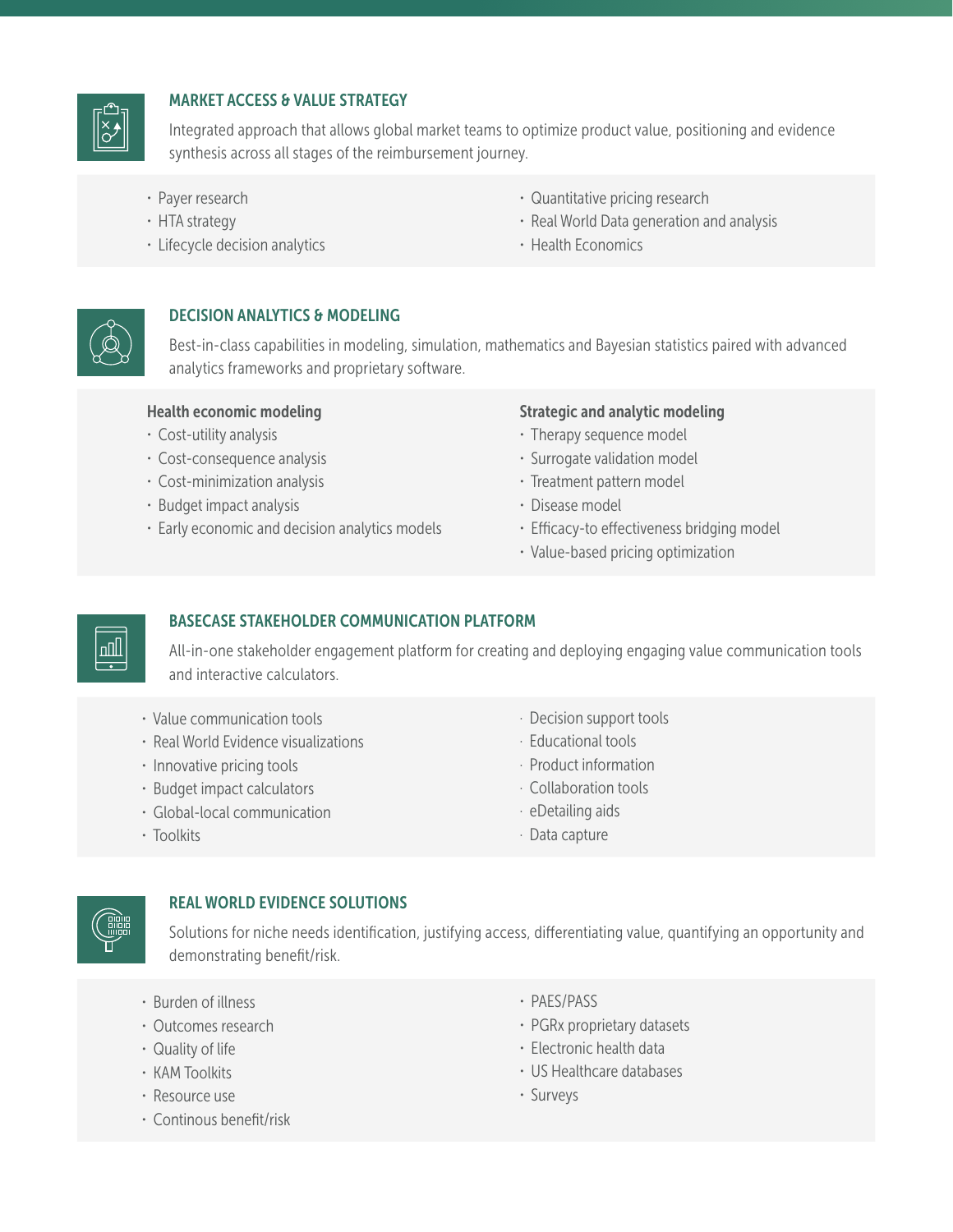

## MARKET ACCESS & VALUE STRATEGY

Integrated approach that allows global market teams to optimize product value, positioning and evidence synthesis across all stages of the reimbursement journey.

- · Payer research
- · HTA strategy
- · Lifecycle decision analytics
- · Quantitative pricing research
- · Real World Data generation and analysis
- · Health Economics



## DECISION ANALYTICS & MODELING

Best-in-class capabilities in modeling, simulation, mathematics and Bayesian statistics paired with advanced analytics frameworks and proprietary software.

#### Health economic modeling

- · Cost-utility analysis
- · Cost-consequence analysis
- · Cost-minimization analysis
- · Budget impact analysis
- · Early economic and decision analytics models

#### Strategic and analytic modeling

- · Therapy sequence model
- · Surrogate validation model
- · Treatment pattern model
- · Disease model
- · Efficacy-to effectiveness bridging model
- · Value-based pricing optimization



#### BASECASE STAKEHOLDER COMMUNICATION PLATFORM

All-in-one stakeholder engagement platform for creating and deploying engaging value communication tools and interactive calculators.

- · Value communication tools
- · Real World Evidence visualizations
- · Innovative pricing tools
- · Budget impact calculators
- · Global-local communication
- · Decision support tools
- · Educational tools
- · Product information
- · Collaboration tools
- · eDetailing aids
- · Data capture



#### REAL WORLD EVIDENCE SOLUTIONS

Solutions for niche needs identification, justifying access, differentiating value, quantifying an opportunity and demonstrating benefit/risk.

- · Burden of illness
- · Outcomes research
- · Quality of life

· Toolkits

- · KAM Toolkits
- · Resource use
- · Continous benefit/risk
- · PAES/PASS
- · PGRx proprietary datasets
- · Electronic health data
- · US Healthcare databases
- · Surveys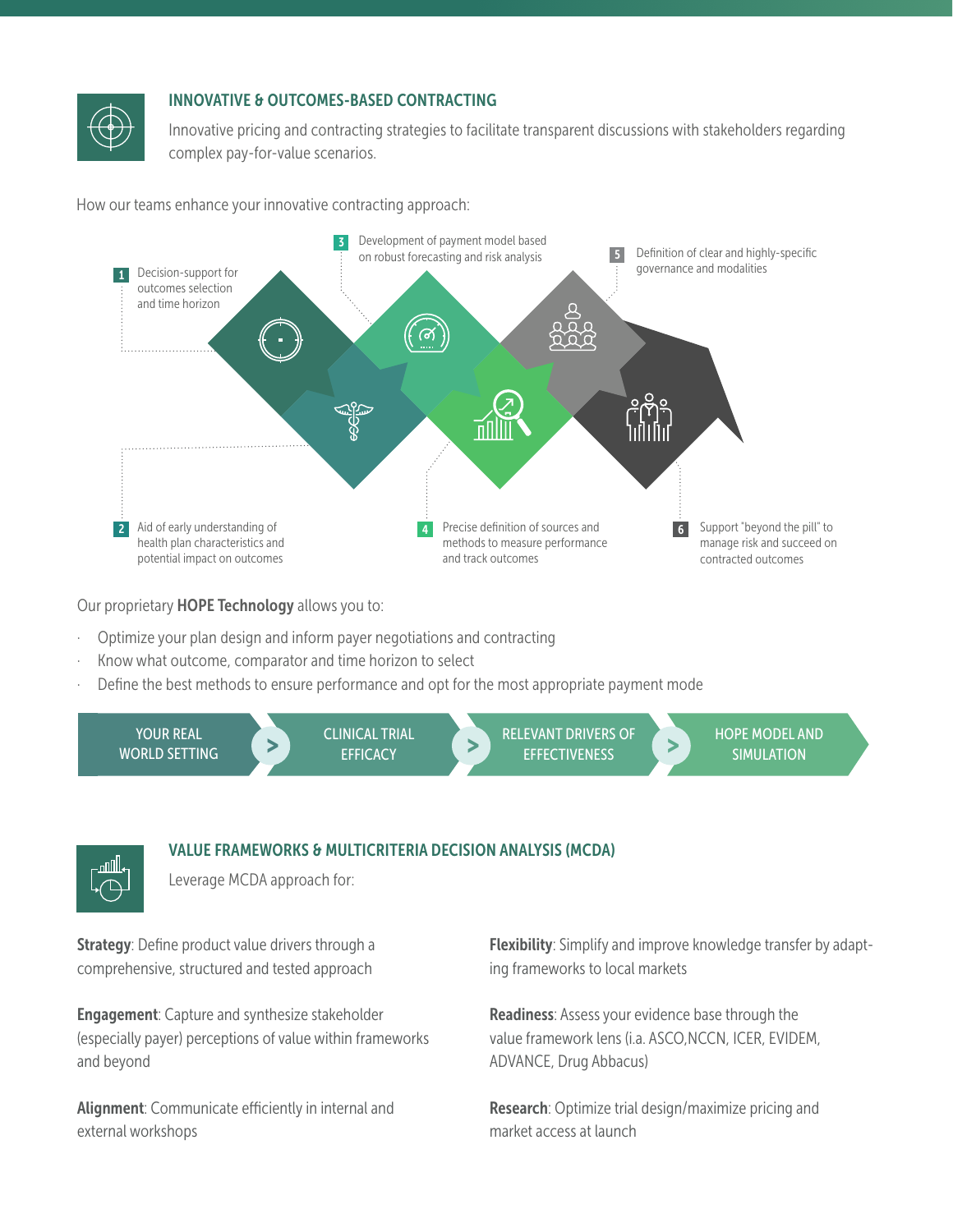

#### INNOVATIVE & OUTCOMES-BASED CONTRACTING

Innovative pricing and contracting strategies to facilitate transparent discussions with stakeholders regarding complex pay-for-value scenarios.

How our teams enhance your innovative contracting approach:



Our proprietary HOPE Technology allows you to:

- Optimize your plan design and inform payer negotiations and contracting
- Know what outcome, comparator and time horizon to select
- Define the best methods to ensure performance and opt for the most appropriate payment mode



#### VALUE FRAMEWORKS & MULTICRITERIA DECISION ANALYSIS (MCDA)

Leverage MCDA approach for:

Strategy: Define product value drivers through a comprehensive, structured and tested approach

nNll

Engagement: Capture and synthesize stakeholder (especially payer) perceptions of value within frameworks and beyond

Alignment: Communicate efficiently in internal and external workshops

Flexibility: Simplify and improve knowledge transfer by adapting frameworks to local markets

Readiness: Assess your evidence base through the value framework lens (i.a. ASCO,NCCN, ICER, EVIDEM, ADVANCE, Drug Abbacus)

Research: Optimize trial design/maximize pricing and market access at launch